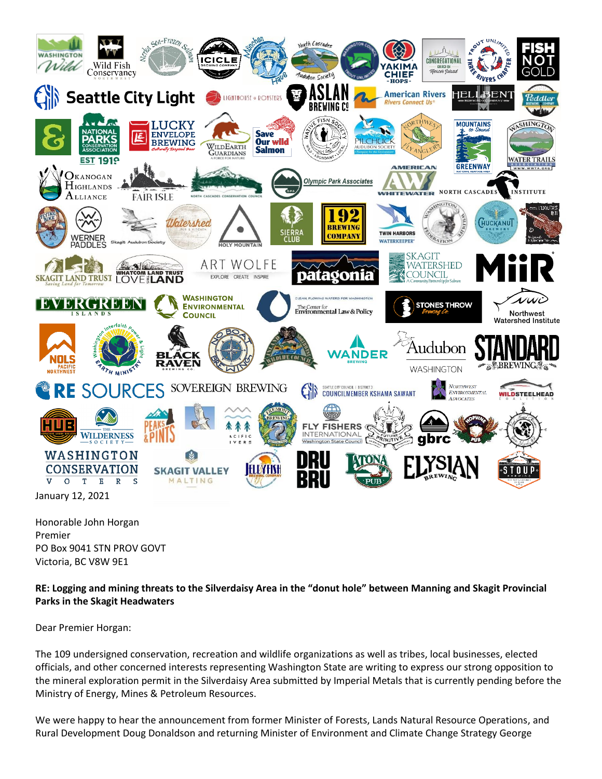

Honorable John Horgan Premier PO Box 9041 STN PROV GOVT Victoria, BC V8W 9E1

**RE: Logging and mining threats to the Silverdaisy Area in the "donut hole" between Manning and Skagit Provincial Parks in the Skagit Headwaters**

Dear Premier Horgan:

The 109 undersigned conservation, recreation and wildlife organizations as well as tribes, local businesses, elected officials, and other concerned interests representing Washington State are writing to express our strong opposition to the mineral exploration permit in the Silverdaisy Area submitted by Imperial Metals that is currently pending before the Ministry of Energy, Mines & Petroleum Resources.

We were happy to hear the announcement from former Minister of Forests, Lands Natural Resource Operations, and Rural Development Doug Donaldson and returning Minister of Environment and Climate Change Strategy George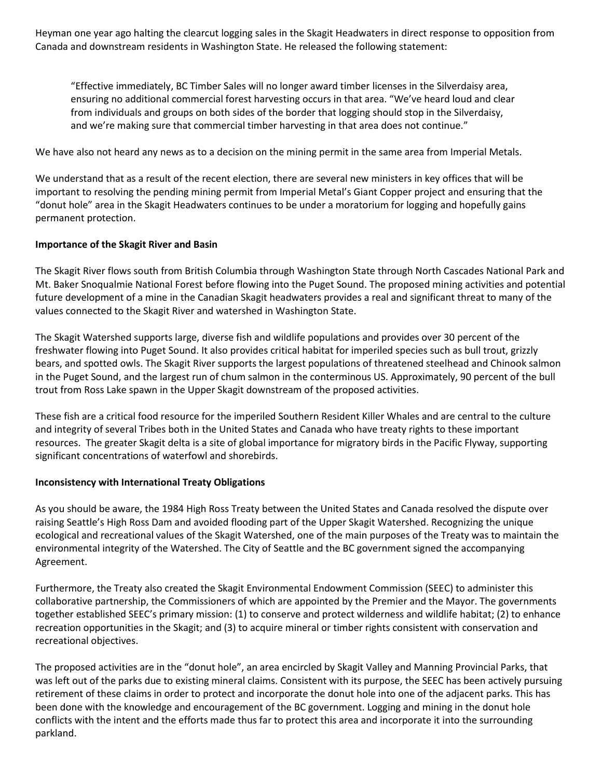Heyman one year ago halting the clearcut logging sales in the Skagit Headwaters in direct response to opposition from Canada and downstream residents in Washington State. He released the following statement:

"Effective immediately, BC Timber Sales will no longer award timber licenses in the Silverdaisy area, ensuring no additional commercial forest harvesting occurs in that area. "We've heard loud and clear from individuals and groups on both sides of the border that logging should stop in the Silverdaisy, and we're making sure that commercial timber harvesting in that area does not continue."

We have also not heard any news as to a decision on the mining permit in the same area from Imperial Metals.

We understand that as a result of the recent election, there are several new ministers in key offices that will be important to resolving the pending mining permit from Imperial Metal's Giant Copper project and ensuring that the "donut hole" area in the Skagit Headwaters continues to be under a moratorium for logging and hopefully gains permanent protection.

### **Importance of the Skagit River and Basin**

The Skagit River flows south from British Columbia through Washington State through North Cascades National Park and Mt. Baker Snoqualmie National Forest before flowing into the Puget Sound. The proposed mining activities and potential future development of a mine in the Canadian Skagit headwaters provides a real and significant threat to many of the values connected to the Skagit River and watershed in Washington State.

The Skagit Watershed supports large, diverse fish and wildlife populations and provides over 30 percent of the freshwater flowing into Puget Sound. It also provides critical habitat for imperiled species such as bull trout, grizzly bears, and spotted owls. The Skagit River supports the largest populations of threatened steelhead and Chinook salmon in the Puget Sound, and the largest run of chum salmon in the conterminous US. Approximately, 90 percent of the bull trout from Ross Lake spawn in the Upper Skagit downstream of the proposed activities.

These fish are a critical food resource for the imperiled Southern Resident Killer Whales and are central to the culture and integrity of several Tribes both in the United States and Canada who have treaty rights to these important resources. The greater Skagit delta is a site of global importance for migratory birds in the Pacific Flyway, supporting significant concentrations of waterfowl and shorebirds.

### **Inconsistency with International Treaty Obligations**

As you should be aware, the 1984 High Ross Treaty between the United States and Canada resolved the dispute over raising Seattle's High Ross Dam and avoided flooding part of the Upper Skagit Watershed. Recognizing the unique ecological and recreational values of the Skagit Watershed, one of the main purposes of the Treaty was to maintain the environmental integrity of the Watershed. The City of Seattle and the BC government signed the accompanying Agreement.

Furthermore, the Treaty also created the Skagit Environmental Endowment Commission (SEEC) to administer this collaborative partnership, the Commissioners of which are appointed by the Premier and the Mayor. The governments together established SEEC's primary mission: (1) to conserve and protect wilderness and wildlife habitat; (2) to enhance recreation opportunities in the Skagit; and (3) to acquire mineral or timber rights consistent with conservation and recreational objectives.

The proposed activities are in the "donut hole", an area encircled by Skagit Valley and Manning Provincial Parks, that was left out of the parks due to existing mineral claims. Consistent with its purpose, the SEEC has been actively pursuing retirement of these claims in order to protect and incorporate the donut hole into one of the adjacent parks. This has been done with the knowledge and encouragement of the BC government. Logging and mining in the donut hole conflicts with the intent and the efforts made thus far to protect this area and incorporate it into the surrounding parkland.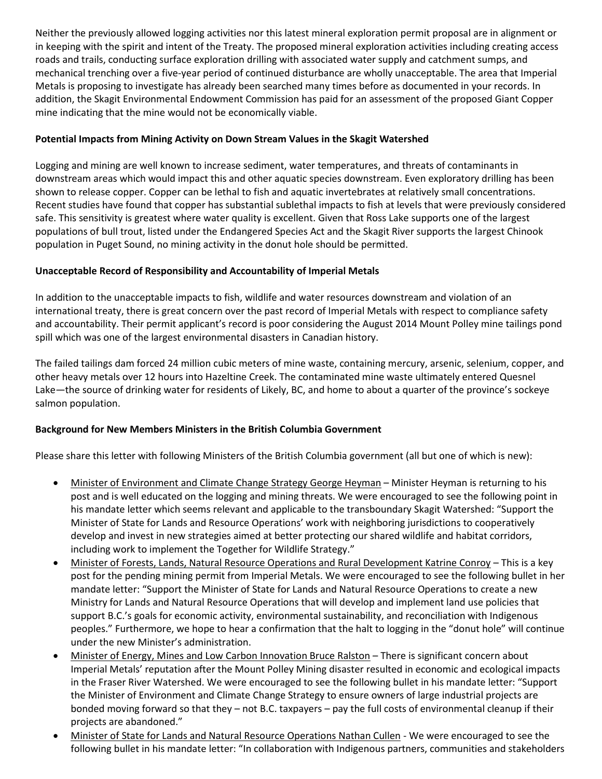Neither the previously allowed logging activities nor this latest mineral exploration permit proposal are in alignment or in keeping with the spirit and intent of the Treaty. The proposed mineral exploration activities including creating access roads and trails, conducting surface exploration drilling with associated water supply and catchment sumps, and mechanical trenching over a five-year period of continued disturbance are wholly unacceptable. The area that Imperial Metals is proposing to investigate has already been searched many times before as documented in your records. In addition, the Skagit Environmental Endowment Commission has paid for an assessment of the proposed Giant Copper mine indicating that the mine would not be economically viable.

# **Potential Impacts from Mining Activity on Down Stream Values in the Skagit Watershed**

Logging and mining are well known to increase sediment, water temperatures, and threats of contaminants in downstream areas which would impact this and other aquatic species downstream. Even exploratory drilling has been shown to release copper. Copper can be lethal to fish and aquatic invertebrates at relatively small concentrations. Recent studies have found that copper has substantial sublethal impacts to fish at levels that were previously considered safe. This sensitivity is greatest where water quality is excellent. Given that Ross Lake supports one of the largest populations of bull trout, listed under the Endangered Species Act and the Skagit River supports the largest Chinook population in Puget Sound, no mining activity in the donut hole should be permitted.

## **Unacceptable Record of Responsibility and Accountability of Imperial Metals**

In addition to the unacceptable impacts to fish, wildlife and water resources downstream and violation of an international treaty, there is great concern over the past record of Imperial Metals with respect to compliance safety and accountability. Their permit applicant's record is poor considering the August 2014 Mount Polley mine tailings pond spill which was one of the largest environmental disasters in Canadian history.

The failed tailings dam forced 24 million cubic meters of mine waste, containing mercury, arsenic, selenium, copper, and other heavy metals over 12 hours into Hazeltine Creek. The contaminated mine waste ultimately entered Quesnel Lake—the source of drinking water for residents of Likely, BC, and home to about a quarter of the province's sockeye salmon population.

# **Background for New Members Ministers in the British Columbia Government**

Please share this letter with following Ministers of the British Columbia government (all but one of which is new):

- Minister of Environment and Climate Change Strategy George Heyman Minister Heyman is returning to his post and is well educated on the logging and mining threats. We were encouraged to see the following point in his mandate letter which seems relevant and applicable to the transboundary Skagit Watershed: "Support the Minister of State for Lands and Resource Operations' work with neighboring jurisdictions to cooperatively develop and invest in new strategies aimed at better protecting our shared wildlife and habitat corridors, including work to implement the Together for Wildlife Strategy."
- Minister of Forests, Lands, Natural Resource Operations and Rural Development Katrine Conroy This is a key post for the pending mining permit from Imperial Metals. We were encouraged to see the following bullet in her mandate letter: "Support the Minister of State for Lands and Natural Resource Operations to create a new Ministry for Lands and Natural Resource Operations that will develop and implement land use policies that support B.C.'s goals for economic activity, environmental sustainability, and reconciliation with Indigenous peoples." Furthermore, we hope to hear a confirmation that the halt to logging in the "donut hole" will continue under the new Minister's administration.
- Minister of Energy, Mines and Low Carbon Innovation Bruce Ralston There is significant concern about Imperial Metals' reputation after the Mount Polley Mining disaster resulted in economic and ecological impacts in the Fraser River Watershed. We were encouraged to see the following bullet in his mandate letter: "Support the Minister of Environment and Climate Change Strategy to ensure owners of large industrial projects are bonded moving forward so that they – not B.C. taxpayers – pay the full costs of environmental cleanup if their projects are abandoned."
- Minister of State for Lands and Natural Resource Operations Nathan Cullen We were encouraged to see the following bullet in his mandate letter: "In collaboration with Indigenous partners, communities and stakeholders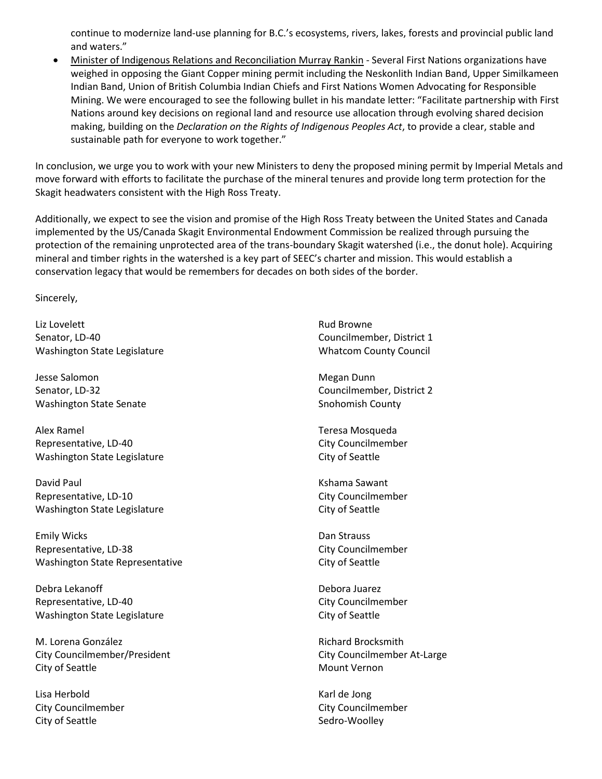continue to modernize land-use planning for B.C.'s ecosystems, rivers, lakes, forests and provincial public land and waters."

• Minister of Indigenous Relations and Reconciliation Murray Rankin - Several First Nations organizations have weighed in opposing the Giant Copper mining permit including the Neskonlith Indian Band, Upper Similkameen Indian Band, Union of British Columbia Indian Chiefs and First Nations Women Advocating for Responsible Mining. We were encouraged to see the following bullet in his mandate letter: "Facilitate partnership with First Nations around key decisions on regional land and resource use allocation through evolving shared decision making, building on the *Declaration on the Rights of Indigenous Peoples Act*, to provide a clear, stable and sustainable path for everyone to work together."

In conclusion, we urge you to work with your new Ministers to deny the proposed mining permit by Imperial Metals and move forward with efforts to facilitate the purchase of the mineral tenures and provide long term protection for the Skagit headwaters consistent with the High Ross Treaty.

Additionally, we expect to see the vision and promise of the High Ross Treaty between the United States and Canada implemented by the US/Canada Skagit Environmental Endowment Commission be realized through pursuing the protection of the remaining unprotected area of the trans-boundary Skagit watershed (i.e., the donut hole). Acquiring mineral and timber rights in the watershed is a key part of SEEC's charter and mission. This would establish a conservation legacy that would be remembers for decades on both sides of the border.

Sincerely,

Liz Lovelett Senator, LD-40 Washington State Legislature

Jesse Salomon Senator, LD-32 Washington State Senate

Alex Ramel Representative, LD-40 Washington State Legislature

David Paul Representative, LD-10 Washington State Legislature

Emily Wicks Representative, LD-38 Washington State Representative

Debra Lekanoff Representative, LD-40 Washington State Legislature

M. Lorena González City Councilmember/President City of Seattle

Lisa Herbold City Councilmember City of Seattle

Rud Browne Councilmember, District 1 Whatcom County Council

Megan Dunn Councilmember, District 2 Snohomish County

Teresa Mosqueda City Councilmember City of Seattle

Kshama Sawant City Councilmember City of Seattle

Dan Strauss City Councilmember City of Seattle

Debora Juarez City Councilmember City of Seattle

Richard Brocksmith City Councilmember At-Large Mount Vernon

Karl de Jong City Councilmember Sedro-Woolley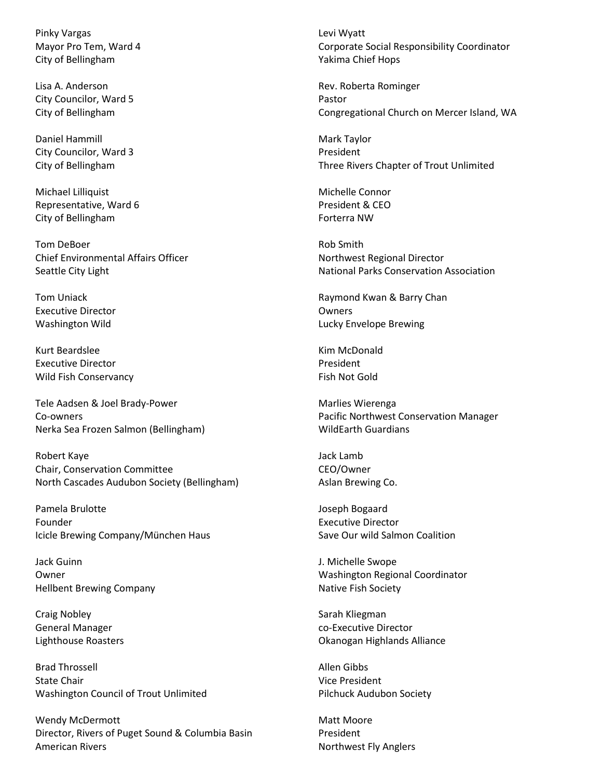Pinky Vargas Mayor Pro Tem, Ward 4 City of Bellingham

Lisa A. Anderson City Councilor, Ward 5 City of Bellingham

Daniel Hammill City Councilor, Ward 3 City of Bellingham

Michael Lilliquist Representative, Ward 6 City of Bellingham

Tom DeBoer Chief Environmental Affairs Officer Seattle City Light

Tom Uniack Executive Director Washington Wild

Kurt Beardslee Executive Director Wild Fish Conservancy

Tele Aadsen & Joel Brady-Power Co-owners Nerka Sea Frozen Salmon (Bellingham)

Robert Kaye Chair, Conservation Committee North Cascades Audubon Society (Bellingham)

Pamela Brulotte Founder Icicle Brewing Company/München Haus

Jack Guinn Owner Hellbent Brewing Company

Craig Nobley General Manager Lighthouse Roasters

Brad Throssell State Chair Washington Council of Trout Unlimited

Wendy McDermott Director, Rivers of Puget Sound & Columbia Basin American Rivers

Levi Wyatt Corporate Social Responsibility Coordinator Yakima Chief Hops

Rev. Roberta Rominger Pastor Congregational Church on Mercer Island, WA

Mark Taylor President Three Rivers Chapter of Trout Unlimited

Michelle Connor President & CEO Forterra NW

Rob Smith Northwest Regional Director National Parks Conservation Association

Raymond Kwan & Barry Chan **Owners** Lucky Envelope Brewing

Kim McDonald President Fish Not Gold

Marlies Wierenga Pacific Northwest Conservation Manager WildEarth Guardians

Jack Lamb CEO/Owner Aslan Brewing Co.

Joseph Bogaard Executive Director Save Our wild Salmon Coalition

J. Michelle Swope Washington Regional Coordinator Native Fish Society

Sarah Kliegman co-Executive Director Okanogan Highlands Alliance

Allen Gibbs Vice President Pilchuck Audubon Society

Matt Moore President Northwest Fly Anglers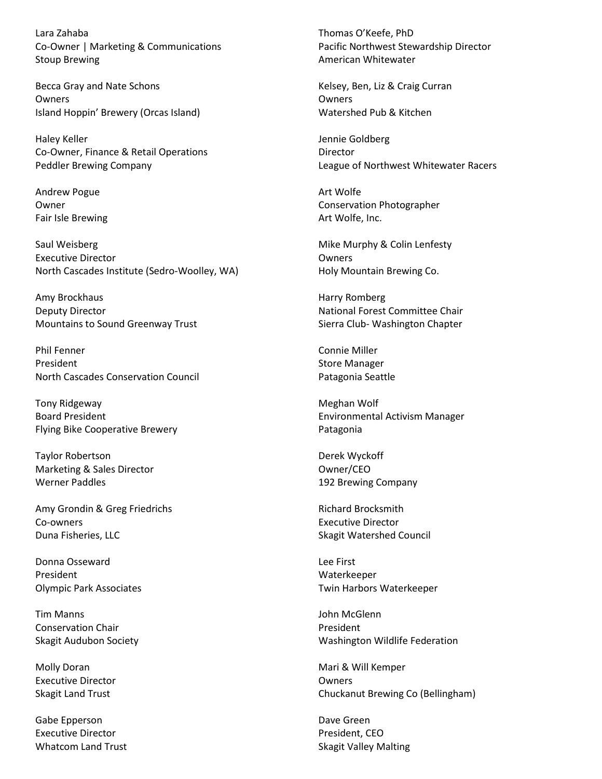Lara Zahaba Co-Owner | Marketing & Communications Stoup Brewing

Becca Gray and Nate Schons Owners Island Hoppin' Brewery (Orcas Island)

Haley Keller Co-Owner, Finance & Retail Operations Peddler Brewing Company

Andrew Pogue Owner Fair Isle Brewing

Saul Weisberg Executive Director North Cascades Institute (Sedro-Woolley, WA)

Amy Brockhaus Deputy Director Mountains to Sound Greenway Trust

Phil Fenner President North Cascades Conservation Council

Tony Ridgeway Board President Flying Bike Cooperative Brewery

Taylor Robertson Marketing & Sales Director Werner Paddles

Amy Grondin & Greg Friedrichs Co-owners Duna Fisheries, LLC

Donna Osseward President Olympic Park Associates

Tim Manns Conservation Chair Skagit Audubon Society

Molly Doran Executive Director Skagit Land Trust

Gabe Epperson Executive Director Whatcom Land Trust Thomas O'Keefe, PhD Pacific Northwest Stewardship Director American Whitewater

Kelsey, Ben, Liz & Craig Curran Owners Watershed Pub & Kitchen

Jennie Goldberg Director League of Northwest Whitewater Racers

Art Wolfe Conservation Photographer Art Wolfe, Inc.

Mike Murphy & Colin Lenfesty Owners Holy Mountain Brewing Co.

Harry Romberg National Forest Committee Chair Sierra Club- Washington Chapter

Connie Miller Store Manager Patagonia Seattle

Meghan Wolf Environmental Activism Manager Patagonia

Derek Wyckoff Owner/CEO 192 Brewing Company

Richard Brocksmith Executive Director Skagit Watershed Council

Lee First Waterkeeper Twin Harbors Waterkeeper

John McGlenn President Washington Wildlife Federation

Mari & Will Kemper Owners Chuckanut Brewing Co (Bellingham)

Dave Green President, CEO Skagit Valley Malting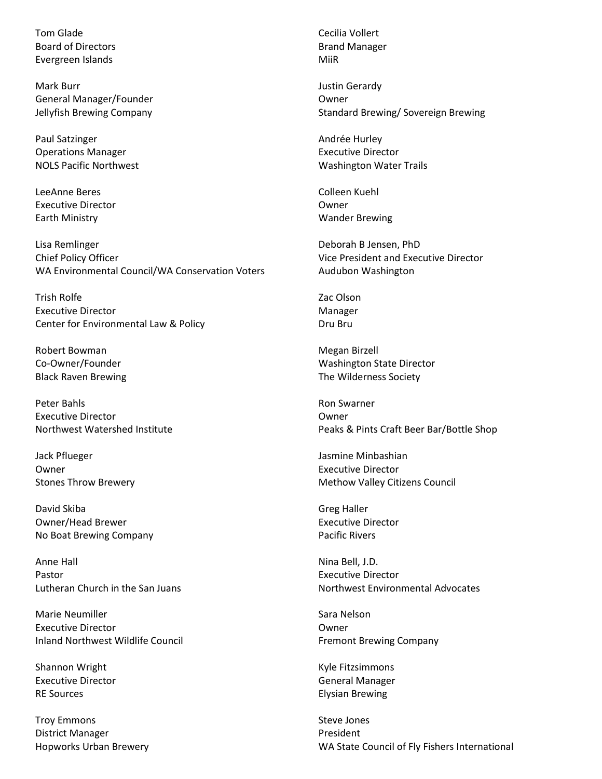Tom Glade Board of Directors Evergreen Islands

Mark Burr General Manager/Founder Jellyfish Brewing Company

Paul Satzinger Operations Manager NOLS Pacific Northwest

LeeAnne Beres Executive Director Earth Ministry

Lisa Remlinger Chief Policy Officer WA Environmental Council/WA Conservation Voters

Trish Rolfe Executive Director Center for Environmental Law & Policy

Robert Bowman Co-Owner/Founder Black Raven Brewing

Peter Bahls Executive Director Northwest Watershed Institute

Jack Pflueger Owner Stones Throw Brewery

David Skiba Owner/Head Brewer No Boat Brewing Company

Anne Hall Pastor Lutheran Church in the San Juans

Marie Neumiller Executive Director Inland Northwest Wildlife Council

Shannon Wright Executive Director RE Sources

Troy Emmons District Manager Hopworks Urban Brewery Cecilia Vollert Brand Manager MiiR

Justin Gerardy Owner Standard Brewing/ Sovereign Brewing

Andrée Hurley Executive Director Washington Water Trails

Colleen Kuehl Owner Wander Brewing

Deborah B Jensen, PhD Vice President and Executive Director Audubon Washington

Zac Olson Manager Dru Bru

Megan Birzell Washington State Director The Wilderness Society

Ron Swarner Owner Peaks & Pints Craft Beer Bar/Bottle Shop

Jasmine Minbashian Executive Director Methow Valley Citizens Council

Greg Haller Executive Director Pacific Rivers

Nina Bell, J.D. Executive Director Northwest Environmental Advocates

Sara Nelson Owner Fremont Brewing Company

Kyle Fitzsimmons General Manager Elysian Brewing

Steve Jones President WA State Council of Fly Fishers International